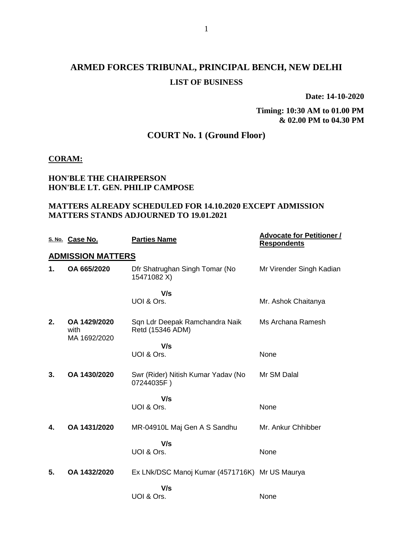# **ARMED FORCES TRIBUNAL, PRINCIPAL BENCH, NEW DELHI LIST OF BUSINESS**

**Date: 14-10-2020**

**Timing: 10:30 AM to 01.00 PM & 02.00 PM to 04.30 PM**

## **COURT No. 1 (Ground Floor)**

#### **CORAM:**

### **HON'BLE THE CHAIRPERSON HON'BLE LT. GEN. PHILIP CAMPOSE**

### **MATTERS ALREADY SCHEDULED FOR 14.10.2020 EXCEPT ADMISSION MATTERS STANDS ADJOURNED TO 19.01.2021**

|    | S. No. Case No.                      | <b>Parties Name</b>                                | <b>Advocate for Petitioner /</b><br><b>Respondents</b> |
|----|--------------------------------------|----------------------------------------------------|--------------------------------------------------------|
|    | <b>ADMISSION MATTERS</b>             |                                                    |                                                        |
| 1. | OA 665/2020                          | Dfr Shatrughan Singh Tomar (No<br>15471082 X)      | Mr Virender Singh Kadian                               |
|    |                                      | V/s                                                |                                                        |
|    |                                      | UOI & Ors.                                         | Mr. Ashok Chaitanya                                    |
| 2. | OA 1429/2020<br>with<br>MA 1692/2020 | Sqn Ldr Deepak Ramchandra Naik<br>Retd (15346 ADM) | Ms Archana Ramesh                                      |
|    |                                      | V/s                                                |                                                        |
|    |                                      | UOI & Ors.                                         | None                                                   |
| 3. | OA 1430/2020                         | Swr (Rider) Nitish Kumar Yadav (No<br>07244035F)   | Mr SM Dalal                                            |
|    |                                      | V/s                                                |                                                        |
|    |                                      | UOI & Ors.                                         | None                                                   |
| 4. | OA 1431/2020                         | MR-04910L Maj Gen A S Sandhu                       | Mr. Ankur Chhibber                                     |
|    |                                      | V/s                                                |                                                        |
|    |                                      | UOI & Ors.                                         | None                                                   |
| 5. | OA 1432/2020                         | Ex LNk/DSC Manoj Kumar (4571716K) Mr US Maurya     |                                                        |
|    |                                      | V/s                                                |                                                        |
|    |                                      | UOI & Ors.                                         | None                                                   |
|    |                                      |                                                    |                                                        |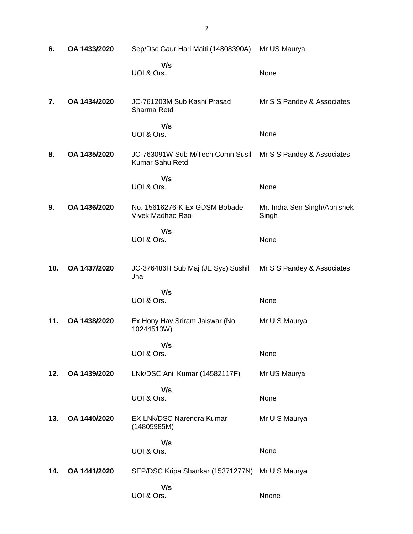| 6.  | OA 1433/2020 | Sep/Dsc Gaur Hari Maiti (14808390A)                 | Mr US Maurya                          |
|-----|--------------|-----------------------------------------------------|---------------------------------------|
|     |              | V/s<br>UOI & Ors.                                   | None                                  |
| 7.  | OA 1434/2020 | JC-761203M Sub Kashi Prasad<br>Sharma Retd          | Mr S S Pandey & Associates            |
|     |              | V/s<br>UOI & Ors.                                   | None                                  |
| 8.  | OA 1435/2020 | JC-763091W Sub M/Tech Comn Susil<br>Kumar Sahu Retd | Mr S S Pandey & Associates            |
|     |              | V/s<br>UOI & Ors.                                   | None                                  |
| 9.  | OA 1436/2020 | No. 15616276-K Ex GDSM Bobade<br>Vivek Madhao Rao   | Mr. Indra Sen Singh/Abhishek<br>Singh |
|     |              | V/s<br>UOI & Ors.                                   | None                                  |
| 10. | OA 1437/2020 | JC-376486H Sub Maj (JE Sys) Sushil<br>Jha           | Mr S S Pandey & Associates            |
|     |              | V/s<br>UOI & Ors.                                   | None                                  |
| 11. | OA 1438/2020 | Ex Hony Hav Sriram Jaiswar (No<br>10244513W)        | Mr U S Maurya                         |
|     |              | V/s<br>UOI & Ors.                                   | None                                  |
| 12. | OA 1439/2020 | LNk/DSC Anil Kumar (14582117F)                      | Mr US Maurya                          |
|     |              | V/s<br>UOI & Ors.                                   | None                                  |
| 13. | OA 1440/2020 | EX LNk/DSC Narendra Kumar<br>(14805985M)            | Mr U S Maurya                         |
|     |              | V/s<br>UOI & Ors.                                   | None                                  |
| 14. | OA 1441/2020 | SEP/DSC Kripa Shankar (15371277N)                   | Mr U S Maurya                         |
|     |              | V/s<br>UOI & Ors.                                   | Nnone                                 |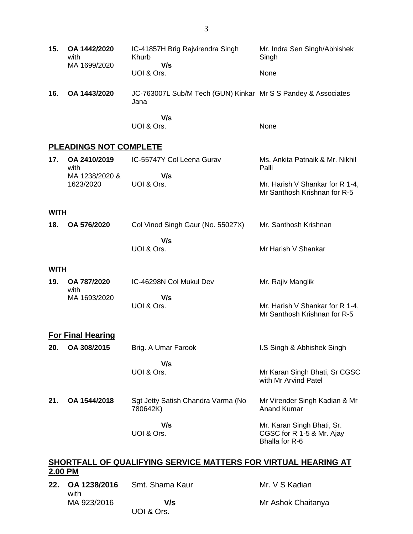| 15.                                                                       | OA 1442/2020<br>with<br>MA 1699/2020 | IC-41857H Brig Rajvirendra Singh<br>Khurb<br>V/s                      | Mr. Indra Sen Singh/Abhishek<br>Singh                                     |
|---------------------------------------------------------------------------|--------------------------------------|-----------------------------------------------------------------------|---------------------------------------------------------------------------|
|                                                                           |                                      | UOI & Ors.                                                            | None                                                                      |
| 16.                                                                       | OA 1443/2020                         | JC-763007L Sub/M Tech (GUN) Kinkar Mr S S Pandey & Associates<br>Jana |                                                                           |
|                                                                           |                                      | V/s<br>UOI & Ors.                                                     | None                                                                      |
|                                                                           | <b>PLEADINGS NOT COMPLETE</b>        |                                                                       |                                                                           |
| 17.                                                                       | OA 2410/2019<br>with                 | IC-55747Y Col Leena Gurav                                             | Ms. Ankita Patnaik & Mr. Nikhil<br>Palli                                  |
|                                                                           | MA 1238/2020 &<br>1623/2020          | V/s<br>UOI & Ors.                                                     | Mr. Harish V Shankar for R 1-4,<br>Mr Santhosh Krishnan for R-5           |
| <b>WITH</b>                                                               |                                      |                                                                       |                                                                           |
| 18.                                                                       | OA 576/2020                          | Col Vinod Singh Gaur (No. 55027X)                                     | Mr. Santhosh Krishnan                                                     |
|                                                                           |                                      | V/s<br>UOI & Ors.                                                     | Mr Harish V Shankar                                                       |
| <b>WITH</b>                                                               |                                      |                                                                       |                                                                           |
| 19.                                                                       | OA 787/2020<br>with                  | IC-46298N Col Mukul Dev                                               | Mr. Rajiv Manglik                                                         |
|                                                                           | MA 1693/2020                         | V/s<br>UOI & Ors.                                                     | Mr. Harish V Shankar for R 1-4,<br>Mr Santhosh Krishnan for R-5           |
|                                                                           | <b>For Final Hearing</b>             |                                                                       |                                                                           |
| 20.                                                                       | OA 308/2015                          | Brig. A Umar Farook                                                   | I.S Singh & Abhishek Singh                                                |
|                                                                           |                                      |                                                                       |                                                                           |
|                                                                           |                                      | V/s<br>UOI & Ors.                                                     | Mr Karan Singh Bhati, Sr CGSC<br>with Mr Arvind Patel                     |
| 21.                                                                       | OA 1544/2018                         | Sgt Jetty Satish Chandra Varma (No<br>780642K)                        | Mr Virender Singh Kadian & Mr<br><b>Anand Kumar</b>                       |
|                                                                           |                                      | V/s<br>UOI & Ors.                                                     | Mr. Karan Singh Bhati, Sr.<br>CGSC for R 1-5 & Mr. Ajay<br>Bhalla for R-6 |
| SHORTFALL OF QUALIFYING SERVICE MATTERS FOR VIRTUAL HEARING AT<br>2.00 PM |                                      |                                                                       |                                                                           |

#### **22. OA 1238/2016** with MA 923/2016 Smt. Shama Kaur  **V/s** UOI & Ors. Mr. V S Kadian Mr Ashok Chaitanya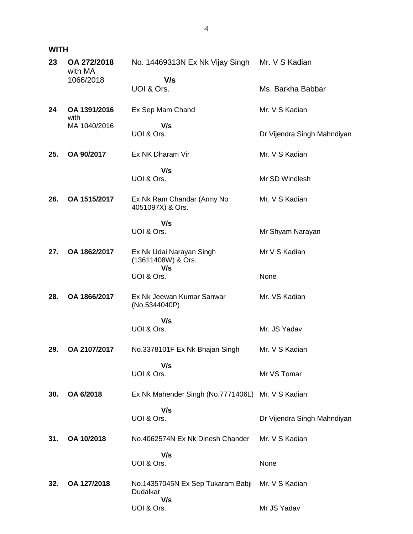## **WITH**

| 23  | OA 272/2018<br>with MA | No. 14469313N Ex Nk Vijay Singh                       | Mr. V S Kadian              |
|-----|------------------------|-------------------------------------------------------|-----------------------------|
|     | 1066/2018              | V/s<br>UOI & Ors.                                     | Ms. Barkha Babbar           |
| 24  | OA 1391/2016<br>with   | Ex Sep Mam Chand                                      | Mr. V S Kadian              |
|     | MA 1040/2016           | V/s<br>UOI & Ors.                                     | Dr Vijendra Singh Mahndiyan |
| 25. | OA 90/2017             | Ex NK Dharam Vir                                      | Mr. V S Kadian              |
|     |                        | V/s<br>UOI & Ors.                                     | Mr SD Windlesh              |
| 26. | OA 1515/2017           | Ex Nk Ram Chandar (Army No<br>4051097X) & Ors.        | Mr. V S Kadian              |
|     |                        | V/s<br>UOI & Ors.                                     | Mr Shyam Narayan            |
| 27. | OA 1862/2017           | Ex Nk Udai Narayan Singh<br>(13611408W) & Ors.<br>V/s | Mr V S Kadian               |
|     |                        | UOI & Ors.                                            | None                        |
| 28. | OA 1866/2017           | Ex Nk Jeewan Kumar Sanwar<br>(No.5344040P)            | Mr. VS Kadian               |
|     |                        | V/s<br>UOI & Ors.                                     | Mr. JS Yadav                |
| 29. | OA 2107/2017           | No.3378101F Ex Nk Bhajan Singh                        | Mr. V S Kadian              |
|     |                        | V/s<br>UOI & Ors.                                     | Mr VS Tomar                 |
| 30. | OA 6/2018              | Ex Nk Mahender Singh (No.7771406L) Mr. V S Kadian     |                             |
|     |                        | V/s<br>UOI & Ors.                                     | Dr Vijendra Singh Mahndiyan |
| 31. | OA 10/2018             | No.4062574N Ex Nk Dinesh Chander                      | Mr. V S Kadian              |
|     |                        | V/s<br>UOI & Ors.                                     | None                        |
| 32. | OA 127/2018            | No.14357045N Ex Sep Tukaram Babji<br>Dudalkar<br>V/s  | Mr. V S Kadian              |
|     |                        | UOI & Ors.                                            | Mr JS Yadav                 |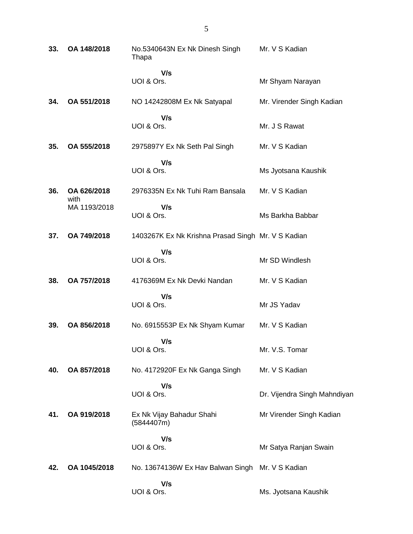| 33. | OA 148/2018         | No.5340643N Ex Nk Dinesh Singh<br>Thapa            | Mr. V S Kadian               |
|-----|---------------------|----------------------------------------------------|------------------------------|
|     |                     | V/s<br>UOI & Ors.                                  | Mr Shyam Narayan             |
| 34. | OA 551/2018         | NO 14242808M Ex Nk Satyapal                        | Mr. Virender Singh Kadian    |
|     |                     | V/s<br>UOI & Ors.                                  | Mr. J S Rawat                |
| 35. | OA 555/2018         | 2975897Y Ex Nk Seth Pal Singh                      | Mr. V S Kadian               |
|     |                     | V/s<br>UOI & Ors.                                  | Ms Jyotsana Kaushik          |
| 36. | OA 626/2018<br>with | 2976335N Ex Nk Tuhi Ram Bansala                    | Mr. V S Kadian               |
|     | MA 1193/2018        | V/s<br>UOI & Ors.                                  | Ms Barkha Babbar             |
| 37. | OA 749/2018         | 1403267K Ex Nk Krishna Prasad Singh Mr. V S Kadian |                              |
|     |                     | V/s<br>UOI & Ors.                                  | Mr SD Windlesh               |
| 38. | OA 757/2018         | 4176369M Ex Nk Devki Nandan                        | Mr. V S Kadian               |
|     |                     | V/s<br>UOI & Ors.                                  | Mr JS Yadav                  |
| 39. | OA 856/2018         | No. 6915553P Ex Nk Shyam Kumar                     | Mr. V S Kadian               |
|     |                     | V/s<br>UOI & Ors.                                  | Mr. V.S. Tomar               |
| 40. | OA 857/2018         | No. 4172920F Ex Nk Ganga Singh                     | Mr. V S Kadian               |
|     |                     | V/s<br>UOI & Ors.                                  | Dr. Vijendra Singh Mahndiyan |
| 41. | OA 919/2018         | Ex Nk Vijay Bahadur Shahi<br>(5844407m)            | Mr Virender Singh Kadian     |
|     |                     | V/s<br>UOI & Ors.                                  | Mr Satya Ranjan Swain        |
| 42. | OA 1045/2018        | No. 13674136W Ex Hav Balwan Singh                  | Mr. V S Kadian               |
|     |                     | V/s<br>UOI & Ors.                                  | Ms. Jyotsana Kaushik         |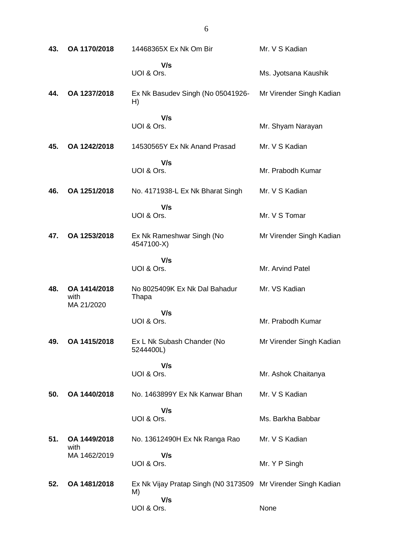| 43. | OA 1170/2018                       | 14468365X Ex Nk Om Bir                                                     | Mr. V S Kadian           |
|-----|------------------------------------|----------------------------------------------------------------------------|--------------------------|
|     |                                    | V/s<br>UOI & Ors.                                                          | Ms. Jyotsana Kaushik     |
| 44. | OA 1237/2018                       | Ex Nk Basudev Singh (No 05041926-<br>H)                                    | Mr Virender Singh Kadian |
|     |                                    | V/s<br>UOI & Ors.                                                          | Mr. Shyam Narayan        |
| 45. | OA 1242/2018                       | 14530565Y Ex Nk Anand Prasad                                               | Mr. V S Kadian           |
|     |                                    | V/s<br>UOI & Ors.                                                          | Mr. Prabodh Kumar        |
| 46. | OA 1251/2018                       | No. 4171938-L Ex Nk Bharat Singh                                           | Mr. V S Kadian           |
|     |                                    | V/s<br>UOI & Ors.                                                          | Mr. V S Tomar            |
| 47. | OA 1253/2018                       | Ex Nk Rameshwar Singh (No<br>4547100-X)                                    | Mr Virender Singh Kadian |
|     |                                    | V/s<br>UOI & Ors.                                                          | Mr. Arvind Patel         |
| 48. | OA 1414/2018<br>with<br>MA 21/2020 | No 8025409K Ex Nk Dal Bahadur<br>Thapa                                     | Mr. VS Kadian            |
|     |                                    | V/s<br>UOI & Ors.                                                          | Mr. Prabodh Kumar        |
| 49. | OA 1415/2018                       | Ex L Nk Subash Chander (No<br>5244400L)                                    | Mr Virender Singh Kadian |
|     |                                    | V/s<br>UOI & Ors.                                                          | Mr. Ashok Chaitanya      |
| 50. | OA 1440/2018                       | No. 1463899Y Ex Nk Kanwar Bhan                                             | Mr. V S Kadian           |
|     |                                    | V/s<br>UOI & Ors.                                                          | Ms. Barkha Babbar        |
| 51. | OA 1449/2018<br>with               | No. 13612490H Ex Nk Ranga Rao                                              | Mr. V S Kadian           |
|     | MA 1462/2019                       | V/s<br>UOI & Ors.                                                          | Mr. Y P Singh            |
| 52. | OA 1481/2018                       | Ex Nk Vijay Pratap Singh (N0 3173509 Mr Virender Singh Kadian<br>M)<br>V/s |                          |
|     |                                    | UOI & Ors.                                                                 | None                     |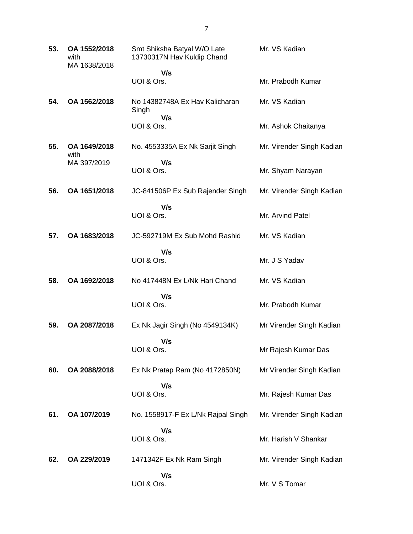| 53. | OA 1552/2018<br>with<br>MA 1638/2018 | Smt Shiksha Batyal W/O Late<br>13730317N Hav Kuldip Chand | Mr. VS Kadian             |
|-----|--------------------------------------|-----------------------------------------------------------|---------------------------|
|     |                                      | V/s                                                       |                           |
|     |                                      | UOI & Ors.                                                | Mr. Prabodh Kumar         |
| 54. | OA 1562/2018                         | No 14382748A Ex Hav Kalicharan<br>Singh                   | Mr. VS Kadian             |
|     |                                      | V/s<br>UOI & Ors.                                         | Mr. Ashok Chaitanya       |
| 55. | OA 1649/2018<br>with                 | No. 4553335A Ex Nk Sarjit Singh                           | Mr. Virender Singh Kadian |
|     | MA 397/2019                          | V/s                                                       |                           |
|     |                                      | UOI & Ors.                                                | Mr. Shyam Narayan         |
| 56. | OA 1651/2018                         | JC-841506P Ex Sub Rajender Singh                          | Mr. Virender Singh Kadian |
|     |                                      | V/s<br>UOI & Ors.                                         | Mr. Arvind Patel          |
|     |                                      |                                                           |                           |
| 57. | OA 1683/2018                         | JC-592719M Ex Sub Mohd Rashid                             | Mr. VS Kadian             |
|     |                                      | V/s<br>UOI & Ors.                                         | Mr. J S Yadav             |
| 58. | OA 1692/2018                         | No 417448N Ex L/Nk Hari Chand                             | Mr. VS Kadian             |
|     |                                      | V/s                                                       |                           |
|     |                                      | UOI & Ors.                                                | Mr. Prabodh Kumar         |
| 59. | OA 2087/2018                         | Ex Nk Jagir Singh (No 4549134K)                           | Mr Virender Singh Kadian  |
|     |                                      | V/s<br>UOI & Ors.                                         | Mr Rajesh Kumar Das       |
| 60. | OA 2088/2018                         | Ex Nk Pratap Ram (No 4172850N)                            | Mr Virender Singh Kadian  |
|     |                                      | V/s                                                       |                           |
|     |                                      | UOI & Ors.                                                | Mr. Rajesh Kumar Das      |
| 61. | OA 107/2019                          | No. 1558917-F Ex L/Nk Rajpal Singh                        | Mr. Virender Singh Kadian |
|     |                                      | V/s<br>UOI & Ors.                                         | Mr. Harish V Shankar      |
| 62. | OA 229/2019                          | 1471342F Ex Nk Ram Singh                                  | Mr. Virender Singh Kadian |
|     |                                      | V/s<br>UOI & Ors.                                         | Mr. V S Tomar             |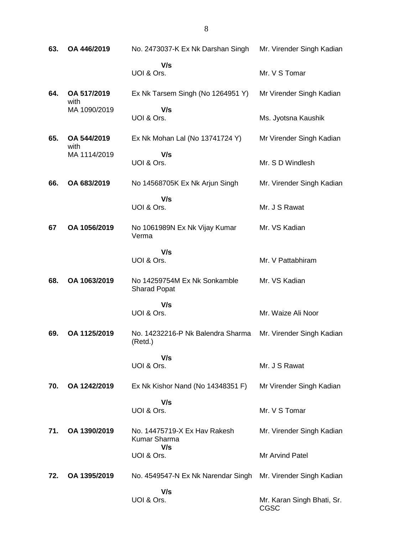| 63. | OA 446/2019         | No. 2473037-K Ex Nk Darshan Singh                   | Mr. Virender Singh Kadian          |
|-----|---------------------|-----------------------------------------------------|------------------------------------|
|     |                     | V/s<br>UOI & Ors.                                   | Mr. V S Tomar                      |
| 64. | OA 517/2019<br>with | Ex Nk Tarsem Singh (No 1264951 Y)                   | Mr Virender Singh Kadian           |
|     | MA 1090/2019        | V/s<br>UOI & Ors.                                   | Ms. Jyotsna Kaushik                |
| 65. | OA 544/2019<br>with | Ex Nk Mohan Lal (No 13741724 Y)                     | Mr Virender Singh Kadian           |
|     | MA 1114/2019        | V/s<br>UOI & Ors.                                   | Mr. S D Windlesh                   |
| 66. | OA 683/2019         | No 14568705K Ex Nk Arjun Singh                      | Mr. Virender Singh Kadian          |
|     |                     | V/s<br>UOI & Ors.                                   | Mr. J S Rawat                      |
| 67  | OA 1056/2019        | No 1061989N Ex Nk Vijay Kumar<br>Verma              | Mr. VS Kadian                      |
|     |                     | V/s<br>UOI & Ors.                                   | Mr. V Pattabhiram                  |
| 68. | OA 1063/2019        | No 14259754M Ex Nk Sonkamble<br><b>Sharad Popat</b> | Mr. VS Kadian                      |
|     |                     | V/s<br>UOI & Ors.                                   | Mr. Waize Ali Noor                 |
| 69. | OA 1125/2019        | No. 14232216-P Nk Balendra Sharma<br>(Retd.)        | Mr. Virender Singh Kadian          |
|     |                     | V/s<br>UOI & Ors.                                   | Mr. J S Rawat                      |
| 70. | OA 1242/2019        | Ex Nk Kishor Nand (No 14348351 F)                   | Mr Virender Singh Kadian           |
|     |                     | V/s<br>UOI & Ors.                                   | Mr. V S Tomar                      |
| 71. | OA 1390/2019        | No. 14475719-X Ex Hay Rakesh<br>Kumar Sharma<br>V/s | Mr. Virender Singh Kadian          |
|     |                     | UOI & Ors.                                          | Mr Arvind Patel                    |
| 72. | OA 1395/2019        | No. 4549547-N Ex Nk Narendar Singh                  | Mr. Virender Singh Kadian          |
|     |                     | V/s<br>UOI & Ors.                                   | Mr. Karan Singh Bhati, Sr.<br>CGSC |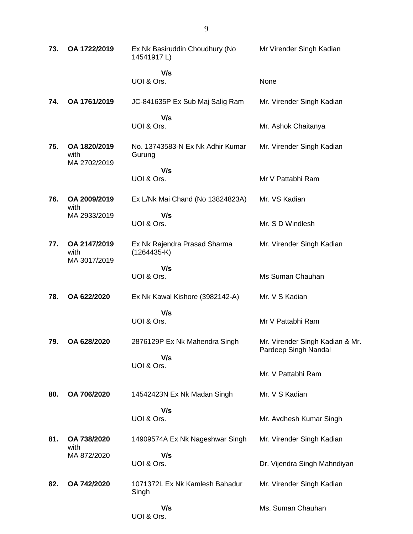| 73. | OA 1722/2019                         | Ex Nk Basiruddin Choudhury (No<br>14541917L)  | Mr Virender Singh Kadian                                |
|-----|--------------------------------------|-----------------------------------------------|---------------------------------------------------------|
|     |                                      | V/s<br>UOI & Ors.                             | None                                                    |
| 74. | OA 1761/2019                         | JC-841635P Ex Sub Maj Salig Ram               | Mr. Virender Singh Kadian                               |
|     |                                      | V/s<br>UOI & Ors.                             | Mr. Ashok Chaitanya                                     |
| 75. | OA 1820/2019<br>with<br>MA 2702/2019 | No. 13743583-N Ex Nk Adhir Kumar<br>Gurung    | Mr. Virender Singh Kadian                               |
|     |                                      | V/s<br>UOI & Ors.                             | Mr V Pattabhi Ram                                       |
| 76. | OA 2009/2019<br>with                 | Ex L/Nk Mai Chand (No 13824823A)              | Mr. VS Kadian                                           |
|     | MA 2933/2019                         | V/s<br>UOI & Ors.                             | Mr. S D Windlesh                                        |
| 77. | OA 2147/2019<br>with<br>MA 3017/2019 | Ex Nk Rajendra Prasad Sharma<br>$(1264435-K)$ | Mr. Virender Singh Kadian                               |
|     |                                      | V/s<br>UOI & Ors.                             | Ms Suman Chauhan                                        |
| 78. | OA 622/2020                          | Ex Nk Kawal Kishore (3982142-A)               | Mr. V S Kadian                                          |
|     |                                      | V/s<br>UOI & Ors.                             | Mr V Pattabhi Ram                                       |
| 79. | OA 628/2020                          | 2876129P Ex Nk Mahendra Singh<br>V/s          | Mr. Virender Singh Kadian & Mr.<br>Pardeep Singh Nandal |
|     |                                      | UOI & Ors.                                    | Mr. V Pattabhi Ram                                      |
| 80. | OA 706/2020                          | 14542423N Ex Nk Madan Singh                   | Mr. V S Kadian                                          |
|     |                                      | V/s<br>UOI & Ors.                             | Mr. Avdhesh Kumar Singh                                 |
| 81. | OA 738/2020<br>with                  | 14909574A Ex Nk Nageshwar Singh               | Mr. Virender Singh Kadian                               |
|     | MA 872/2020                          | V/s<br>UOI & Ors.                             | Dr. Vijendra Singh Mahndiyan                            |
| 82. | OA 742/2020                          | 1071372L Ex Nk Kamlesh Bahadur<br>Singh       | Mr. Virender Singh Kadian                               |
|     |                                      | V/s<br>UOI & Ors.                             | Ms. Suman Chauhan                                       |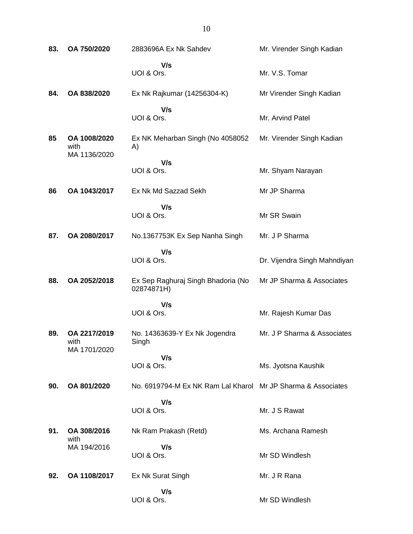| 83. | OA 750/2020                          | 2883696A Ex Nk Sahdev                                        | Mr. Virender Singh Kadian    |
|-----|--------------------------------------|--------------------------------------------------------------|------------------------------|
|     |                                      | V/s<br>UOI & Ors.                                            | Mr. V.S. Tomar               |
| 84. | OA 838/2020                          | Ex Nk Rajkumar (14256304-K)                                  | Mr Virender Singh Kadian     |
|     |                                      | V/s<br>UOI & Ors.                                            | Mr. Arvind Patel             |
| 85  | OA 1008/2020<br>with<br>MA 1136/2020 | Ex NK Meharban Singh (No 4058052<br>A)                       | Mr. Virender Singh Kadian    |
|     |                                      | V/s<br>UOI & Ors.                                            | Mr. Shyam Narayan            |
| 86  | OA 1043/2017                         | Ex Nk Md Sazzad Sekh                                         | Mr JP Sharma                 |
|     |                                      | V/s<br>UOI & Ors.                                            | Mr SR Swain                  |
| 87. | OA 2080/2017                         | No.1367753K Ex Sep Nanha Singh                               | Mr. J P Sharma               |
|     |                                      | V/s<br>UOI & Ors.                                            | Dr. Vijendra Singh Mahndiyan |
| 88. | OA 2052/2018                         | Ex Sep Raghuraj Singh Bhadoria (No<br>02874871H)             | Mr JP Sharma & Associates    |
|     |                                      | V/s<br>UOI & Ors.                                            | Mr. Rajesh Kumar Das         |
| 89. | OA 2217/2019<br>with<br>MA 1701/2020 | No. 14363639-Y Ex Nk Jogendra<br>Singh                       | Mr. J P Sharma & Associates  |
|     |                                      | V/s<br>UOI & Ors.                                            | Ms. Jyotsna Kaushik          |
| 90. | OA 801/2020                          | No. 6919794-M Ex NK Ram Lal Kharol Mr JP Sharma & Associates |                              |
|     |                                      | V/s<br>UOI & Ors.                                            | Mr. J S Rawat                |
| 91. | OA 308/2016<br>with                  | Nk Ram Prakash (Retd)                                        | Ms. Archana Ramesh           |
|     | MA 194/2016                          | V/s<br>UOI & Ors.                                            | Mr SD Windlesh               |
| 92. | OA 1108/2017                         | Ex Nk Surat Singh                                            | Mr. J R Rana                 |
|     |                                      | V/s<br>UOI & Ors.                                            | Mr SD Windlesh               |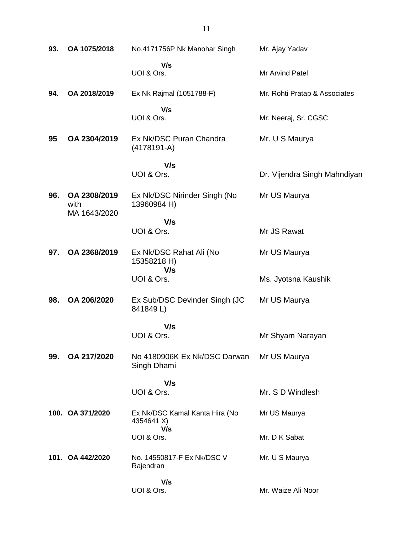| 93. | OA 1075/2018                         | No.4171756P Nk Manohar Singh                 | Mr. Ajay Yadav                |
|-----|--------------------------------------|----------------------------------------------|-------------------------------|
|     |                                      | V/s<br>UOI & Ors.                            | Mr Arvind Patel               |
| 94. | OA 2018/2019                         | Ex Nk Rajmal (1051788-F)                     | Mr. Rohti Pratap & Associates |
|     |                                      | V/s<br>UOI & Ors.                            | Mr. Neeraj, Sr. CGSC          |
| 95  | OA 2304/2019                         | Ex Nk/DSC Puran Chandra<br>$(4178191-A)$     | Mr. U S Maurya                |
|     |                                      | V/s                                          |                               |
|     |                                      | UOI & Ors.                                   | Dr. Vijendra Singh Mahndiyan  |
| 96. | OA 2308/2019<br>with<br>MA 1643/2020 | Ex Nk/DSC Nirinder Singh (No<br>13960984 H)  | Mr US Maurya                  |
|     |                                      | V/s                                          |                               |
|     |                                      | UOI & Ors.                                   | Mr JS Rawat                   |
| 97. | OA 2368/2019                         | Ex Nk/DSC Rahat Ali (No<br>15358218 H)       | Mr US Maurya                  |
|     |                                      | V/s<br>UOI & Ors.                            | Ms. Jyotsna Kaushik           |
| 98. | OA 206/2020                          | Ex Sub/DSC Devinder Singh (JC<br>841849L)    | Mr US Maurya                  |
|     |                                      | V/s                                          |                               |
|     |                                      | UOI & Ors.                                   | Mr Shyam Narayan              |
| 99. | OA 217/2020                          | No 4180906K Ex Nk/DSC Darwan<br>Singh Dhami  | Mr US Maurya                  |
|     |                                      | V/s                                          |                               |
|     |                                      | UOI & Ors.                                   | Mr. S D Windlesh              |
|     | 100. OA 371/2020                     | Ex Nk/DSC Kamal Kanta Hira (No<br>4354641 X) | Mr US Maurya                  |
|     |                                      | V/s<br>UOI & Ors.                            | Mr. D K Sabat                 |
|     | 101. OA 442/2020                     | No. 14550817-F Ex Nk/DSC V<br>Rajendran      | Mr. U S Maurya                |
|     |                                      | V/s<br>UOI & Ors.                            | Mr. Waize Ali Noor            |
|     |                                      |                                              |                               |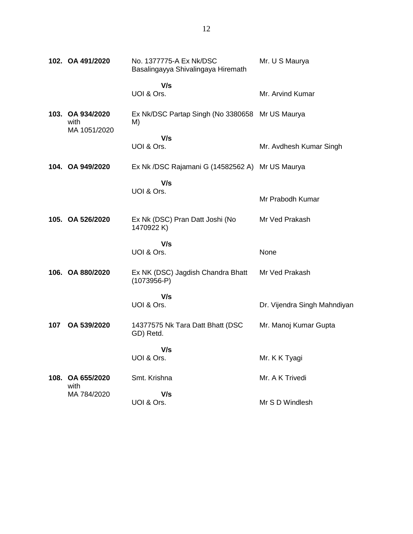|     | 102. OA 491/2020         | No. 1377775-A Ex Nk/DSC<br>Basalingayya Shivalingaya Hiremath | Mr. U S Maurya               |
|-----|--------------------------|---------------------------------------------------------------|------------------------------|
|     |                          | V/s<br>UOI & Ors.                                             | Mr. Arvind Kumar             |
|     | 103. OA 934/2020<br>with | Ex Nk/DSC Partap Singh (No 3380658 Mr US Maurya<br>M)         |                              |
|     | MA 1051/2020             | V/s<br>UOI & Ors.                                             | Mr. Avdhesh Kumar Singh      |
|     | 104. OA 949/2020         | Ex Nk /DSC Rajamani G (14582562 A) Mr US Maurya               |                              |
|     |                          | V/s<br>UOI & Ors.                                             | Mr Prabodh Kumar             |
|     | 105. OA 526/2020         | Ex Nk (DSC) Pran Datt Joshi (No<br>1470922K)                  | Mr Ved Prakash               |
|     |                          | V/s<br>UOI & Ors.                                             | None                         |
|     | 106. OA 880/2020         | Ex NK (DSC) Jagdish Chandra Bhatt<br>$(1073956-P)$            | Mr Ved Prakash               |
|     |                          | V/s<br>UOI & Ors.                                             | Dr. Vijendra Singh Mahndiyan |
| 107 | OA 539/2020              | 14377575 Nk Tara Datt Bhatt (DSC<br>GD) Retd.                 | Mr. Manoj Kumar Gupta        |
|     |                          | V/s<br>UOI & Ors.                                             | Mr. K K Tyagi                |
|     | 108. OA 655/2020<br>with | Smt. Krishna                                                  | Mr. A K Trivedi              |
|     | MA 784/2020              | V/s<br>UOI & Ors.                                             | Mr S D Windlesh              |